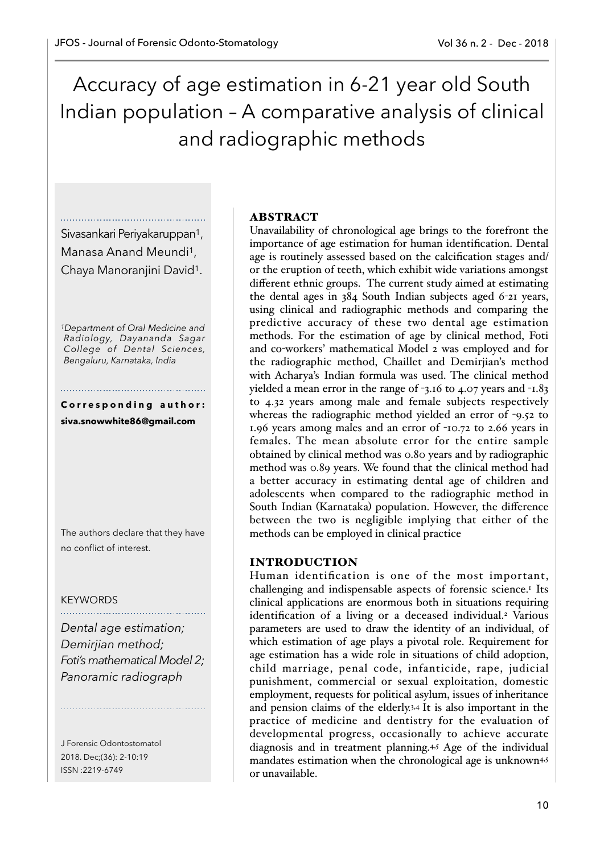Accuracy of age estimation in 6-21 year old South Indian population – A comparative analysis of clinical and radiographic methods

Sivasankari Periyakaruppan1, Manasa Anand Meundi1, Chaya Manoranjini David1.

*1Department of Oral Medicine and Radiology, Dayananda Sagar College of Dental Sciences, Bengaluru, Karnataka, India* 

## Corresponding author: **siva.snowwhite86@gmail.com**

The authors declare that they have no conflict of interest.

## KEYWORDS

*Dental age estimation; Demirjian method; Foti's mathematical Model 2; Panoramic radiograph* 

J Forensic Odontostomatol 2018. Dec;(36): 2-10:19 ISSN :2219-6749

#### ABSTRACT

Unavailability of chronological age brings to the forefront the importance of age estimation for human identification. Dental age is routinely assessed based on the calcification stages and/ or the eruption of teeth, which exhibit wide variations amongst different ethnic groups. The current study aimed at estimating the dental ages in 384 South Indian subjects aged 6-21 years, using clinical and radiographic methods and comparing the predictive accuracy of these two dental age estimation methods. For the estimation of age by clinical method, Foti and co-workers' mathematical Model 2 was employed and for the radiographic method, Chaillet and Demirjian's method with Acharya's Indian formula was used. The clinical method yielded a mean error in the range of -3.16 to 4.07 years and -1.83 to 4.32 years among male and female subjects respectively whereas the radiographic method yielded an error of -9.52 to 1.96 years among males and an error of -10.72 to 2.66 years in females. The mean absolute error for the entire sample obtained by clinical method was 0.80 years and by radiographic method was 0.89 years. We found that the clinical method had a better accuracy in estimating dental age of children and adolescents when compared to the radiographic method in South Indian (Karnataka) population. However, the difference between the two is negligible implying that either of the methods can be employed in clinical practice

## INTRODUCTION

Human identification is one of the most important, challenging and indispensable aspects of forensic science.<sup>1</sup> Its clinical applications are enormous both in situations requiring identification of a living or a deceased individual.<sup>2</sup> Various parameters are used to draw the identity of an individual, of which estimation of age plays a pivotal role. Requirement for age estimation has a wide role in situations of child adoption, child marriage, penal code, infanticide, rape, judicial punishment, commercial or sexual exploitation, domestic employment, requests for political asylum, issues of inheritance and pension claims of the elderly.3,4 It is also important in the practice of medicine and dentistry for the evaluation of developmental progress, occasionally to achieve accurate diagnosis and in treatment planning.4,5 Age of the individual mandates estimation when the chronological age is unknown<sup>4,5</sup> or unavailable.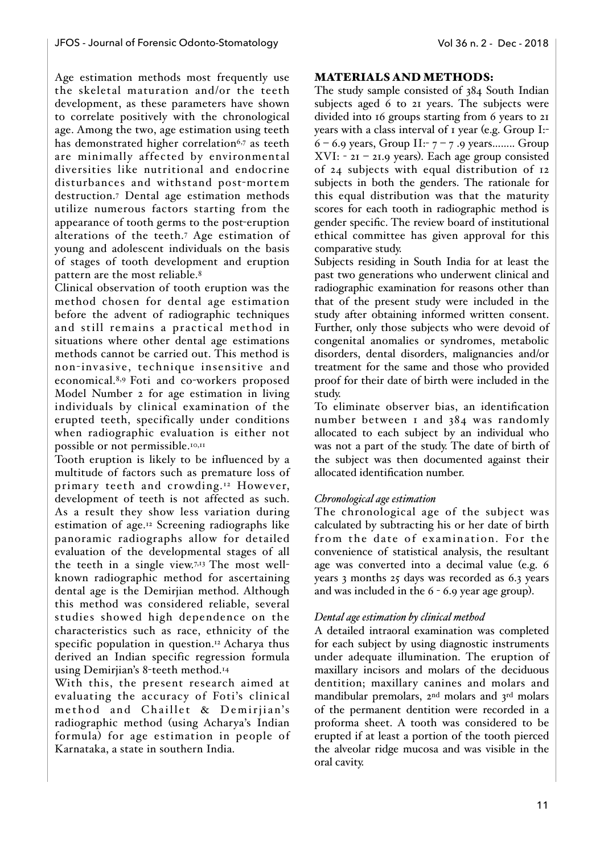Age estimation methods most frequently use the skeletal maturation and/or the teeth development, as these parameters have shown to correlate positively with the chronological age. Among the two, age estimation using teeth has demonstrated higher correlation<sup>6,7</sup> as teeth are minimally affected by environmental diversities like nutritional and endocrine disturbances and withstand post-mortem destruction.7 Dental age estimation methods utilize numerous factors starting from the appearance of tooth germs to the post-eruption alterations of the teeth.7 Age estimation of young and adolescent individuals on the basis of stages of tooth development and eruption pattern are the most reliable.<sup>8</sup>

Clinical observation of tooth eruption was the method chosen for dental age estimation before the advent of radiographic techniques and still remains a practical method in situations where other dental age estimations methods cannot be carried out. This method is non-invasive, technique insensitive and economical.8,9 Foti and co-workers proposed Model Number 2 for age estimation in living individuals by clinical examination of the erupted teeth, specifically under conditions when radiographic evaluation is either not possible or not permissible.<sup>10,11</sup>

Tooth eruption is likely to be influenced by a multitude of factors such as premature loss of primary teeth and crowding.12 However, development of teeth is not affected as such. As a result they show less variation during estimation of age.12 Screening radiographs like panoramic radiographs allow for detailed evaluation of the developmental stages of all the teeth in a single view.7,13 The most wellknown radiographic method for ascertaining dental age is the Demirjian method. Although this method was considered reliable, several studies showed high dependence on the characteristics such as race, ethnicity of the specific population in question.12 Acharya thus derived an Indian specific regression formula using Demirjian's 8-teeth method.14

With this, the present research aimed at evaluating the accuracy of Foti's clinical method and Chaillet & Demirjian's radiographic method (using Acharya's Indian formula) for age estimation in people of Karnataka, a state in southern India.

## MATERIALS AND METHODS:

The study sample consisted of 384 South Indian subjects aged 6 to 21 years. The subjects were divided into 16 groups starting from 6 years to 21 years with a class interval of 1 year (e.g. Group I:- $6 - 6.9$  years, Group II:-  $7 - 7.9$  years........ Group XVI: - 21 – 21.9 years). Each age group consisted of 24 subjects with equal distribution of 12 subjects in both the genders. The rationale for this equal distribution was that the maturity scores for each tooth in radiographic method is gender specific. The review board of institutional ethical committee has given approval for this comparative study.

Subjects residing in South India for at least the past two generations who underwent clinical and radiographic examination for reasons other than that of the present study were included in the study after obtaining informed written consent. Further, only those subjects who were devoid of congenital anomalies or syndromes, metabolic disorders, dental disorders, malignancies and/or treatment for the same and those who provided proof for their date of birth were included in the study.

To eliminate observer bias, an identification number between 1 and 384 was randomly allocated to each subject by an individual who was not a part of the study. The date of birth of the subject was then documented against their allocated identification number.

## *Chronological age estimation*

The chronological age of the subject was calculated by subtracting his or her date of birth from the date of examination. For the convenience of statistical analysis, the resultant age was converted into a decimal value (e.g. 6 years 3 months 25 days was recorded as 6.3 years and was included in the 6 - 6.9 year age group).

#### *Dental age estimation by clinical method*

A detailed intraoral examination was completed for each subject by using diagnostic instruments under adequate illumination. The eruption of maxillary incisors and molars of the deciduous dentition; maxillary canines and molars and mandibular premolars, 2nd molars and 3rd molars of the permanent dentition were recorded in a proforma sheet. A tooth was considered to be erupted if at least a portion of the tooth pierced the alveolar ridge mucosa and was visible in the oral cavity.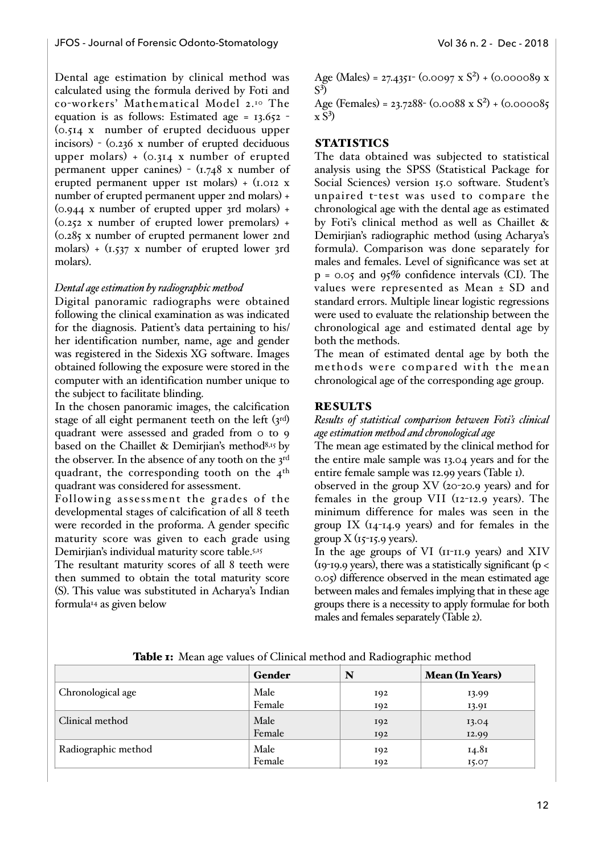Dental age estimation by clinical method was calculated using the formula derived by Foti and co-workers' Mathematical Model 2.10 The equation is as follows: Estimated age =  $13.652$ (0.514 x number of erupted deciduous upper incisors) - (0.236 x number of erupted deciduous upper molars)  $+$  (0.314 x number of erupted permanent upper canines) - (1.748 x number of erupted permanent upper 1st molars) +  $(i.012 \times$ number of erupted permanent upper 2nd molars) +  $(0.944 \times$  number of erupted upper 3rd molars) +  $(0.252 \times$  number of erupted lower premolars) + (0.285 x number of erupted permanent lower 2nd molars) + (1.537 x number of erupted lower 3rd molars).

#### *Dental age estimation by radiographic method*

Digital panoramic radiographs were obtained following the clinical examination as was indicated for the diagnosis. Patient's data pertaining to his/ her identification number, name, age and gender was registered in the Sidexis XG software. Images obtained following the exposure were stored in the computer with an identification number unique to the subject to facilitate blinding.

In the chosen panoramic images, the calcification stage of all eight permanent teeth on the left  $(s^{rd})$ quadrant were assessed and graded from 0 to 9 based on the Chaillet & Demirjian's method<sup>8,15</sup> by the observer. In the absence of any tooth on the 3rd quadrant, the corresponding tooth on the  $4<sup>th</sup>$ quadrant was considered for assessment.

Following assessment the grades of the developmental stages of calcification of all 8 teeth were recorded in the proforma. A gender specific maturity score was given to each grade using Demirjian's individual maturity score table.5,15

The resultant maturity scores of all 8 teeth were then summed to obtain the total maturity score (S). This value was substituted in Acharya's Indian formula14 as given below

Age (Males) = 27.4351 (0.0097 x  $S^2$ ) + (0.000089 x  $S^3$ 

Age (Females) = 23.7288 - (0.0088 x  $S^2$ ) + (0.000085  $\mathrm{x} S^3$ 

# **STATISTICS**

The data obtained was subjected to statistical analysis using the SPSS (Statistical Package for Social Sciences) version 15.0 software. Student's unpaired t-test was used to compare the chronological age with the dental age as estimated by Foti's clinical method as well as Chaillet & Demirjian's radiographic method (using Acharya's formula). Comparison was done separately for males and females. Level of significance was set at  $p = 0.05$  and  $95\%$  confidence intervals (CI). The values were represented as Mean ± SD and standard errors. Multiple linear logistic regressions were used to evaluate the relationship between the chronological age and estimated dental age by both the methods.

The mean of estimated dental age by both the methods were compared with the mean chronological age of the corresponding age group.

## **RESULTS**

*Results of statistical comparison between Foti's clinical age estimation method and chronological age*

The mean age estimated by the clinical method for the entire male sample was 13.04 years and for the entire female sample was 12.99 years (Table 1).

observed in the group XV (20-20.9 years) and for females in the group VII (12-12.9 years). The minimum difference for males was seen in the group IX  $(14-14.9 \text{ years})$  and for females in the group  $X$  ( $15$ - $15.9$  years).

In the age groups of VI (11-11.9 years) and XIV (19-19.9 years), there was a statistically significant ( $p <$ 0.05) difference observed in the mean estimated age between males and females implying that in these age groups there is a necessity to apply formulae for both males and females separately (Table 2).

|                     | Gender | N   | <b>Mean (In Years)</b> |
|---------------------|--------|-----|------------------------|
| Chronological age   | Male   | 192 | 13.99                  |
|                     | Female | 192 | 13.91                  |
| Clinical method     | Male   | 192 | 13.04                  |
|                     | Female | 192 | 12.99                  |
| Radiographic method | Male   | 192 | 14.81                  |
|                     | Female | 192 | 15.07                  |

Table 1: Mean age values of Clinical method and Radiographic method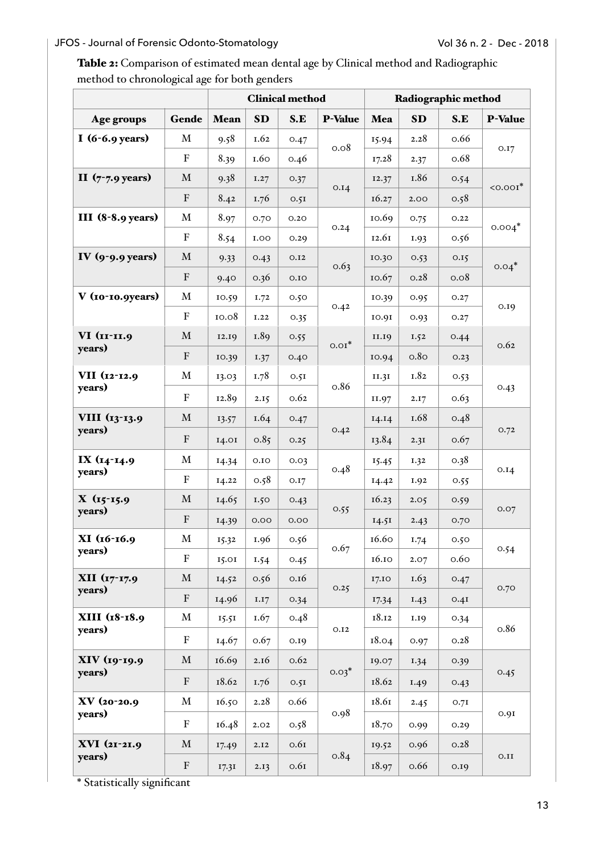# JFOS - Journal of Forensic Odonto-Stomatology **Volugation 12 - Dec - 2018**

Table 2: Comparison of estimated mean dental age by Clinical method and Radiographic method to chronological age for both genders

|                              |                           | <b>Clinical method</b> |             | Radiographic method |                |       |                  |      |                |
|------------------------------|---------------------------|------------------------|-------------|---------------------|----------------|-------|------------------|------|----------------|
| Age groups                   | Gende                     | Mean                   | SD          | S.E                 | <b>P-Value</b> | Mea   | <b>SD</b>        | S.E  | <b>P-Value</b> |
| I $(6-6.9 \text{ years})$    | M<br>9.58<br>I.62<br>0.47 | 0.08                   | 15.94       | 2.28                | 0.66           |       |                  |      |                |
|                              | ${\bf F}$                 | 8.39                   | 1.60        | 0.46                |                | 17.28 | 2.37             | 0.68 | 0.17           |
| II $(7 - 7.9 \text{ years})$ | $\mathbf{M}% _{0}$        | 9.38                   | 1.27        | 0.37                | 0.14           | 12.37 | I.86             | 0.54 | $<$ 0.001 $*$  |
|                              | $\mathbf F$               | 8.42                   | 1.76        | 0.5I                |                | 16.27 | 2.00             | 0.58 |                |
| III $(8-8.9 \text{ years})$  | M                         | 8.97                   | 0.70        | 0.20                | 0.24           | 10.69 | 0.75             | 0.22 | $0.004*$       |
|                              | ${\bf F}$                 | 8.54                   | <b>I.OO</b> | 0.29                |                | 12.6I | I.93             | 0.56 |                |
| IV $(9-9.9 \text{ years})$   | $\mathbf M$               | 9.33                   | 0.43        | O.I2                | 0.63           | 10.30 | 0.53             | 0.15 | $0.04*$        |
|                              | $\mathbf F$               | 9.40                   | 0.36        | 0.10                |                | 10.67 | 0.28             | 0.08 |                |
| V (10-10.9years)             | $\mathbf M$               | 10.59                  | I.72        | 0.50                | 0.42           | 10.39 | 0.95             | 0.27 | 0.19           |
|                              | ${\bf F}$                 | 10.08                  | I.22        | 0.35                |                | 10.91 | 0.93             | 0.27 |                |
| VI (II-II.9                  | $\mathbf{M}% _{0}$        | 12.19                  | 1.89        | 0.55                | $0.01*$        | II.I9 | I.52             | 0.44 | 0.62           |
| years)                       | $\mathbf F$               | 10.39                  | I.37        | 0.40                |                | 10.94 | 0.8 <sub>O</sub> | 0.23 |                |
| VII (12-12.9<br>years)       | $\mathbf M$               | 13.03                  | 1.78        | 0.5I                | 0.86           | II.3I | I.82             | 0.53 | 0.43           |
|                              | ${\bf F}$                 | 12.89                  | 2.15        | 0.62                |                | II.97 | 2.17             | 0.63 |                |
| VIII (13-13.9<br>years)      | $\mathbf{M}% _{0}$        | 13.57                  | 1.64        | 0.47                | 0.42           | I4.14 | I.68             | 0.48 | O.72           |
|                              | $\mathbf F$               | I4.0I                  | 0.85        | 0.25                |                | 13.84 | 2.3I             | 0.67 |                |
| IX (14-14.9                  | $\mathbf M$               | 14.34                  | 0.10        | 0.03                | 0.48           | 15.45 | I.32             | 0.38 | 0.14           |
| years)                       | $\mathbf F$               | 14.22                  | 0.58        | 0.17                |                | 14.42 | I.92             | 0.55 |                |
| $X(15-15.9)$                 | $\mathbf M$               | 14.65                  | 1.50        | 0.43                |                | 16.23 | 2.05             | 0.59 | 0.07           |
| years)                       | ${\bf F}$                 | 14.39                  | 0.00        | 0.00                | 0.55           | 14.51 | 2.43             | 0.70 |                |
| XI (16-16.9                  | $\mathbf M$               | 15.32                  | 1.96        | 0.56                |                | 16.60 | I.74             | 0.50 | 0.54           |
| years)                       | $\mathbf F$               | 15.01                  | 1.54        | 0.45                | 0.67           | 16.10 | 2.07             | 0.60 |                |
| XII (17-17.9                 | $\mathbf M$               | 14.52                  | 0.56        | 0.16                |                | 17.10 | 1.63             | 0.47 | 0.70           |
| years)                       | ${\bf F}$                 | 14.96                  | 1.17        | 0.34                | 0.25           | 17.34 | 1.43             | 0.4I |                |
| XIII (18-18.9                | $\mathbf M$               | 15.51                  | 1.67        | 0.48                |                | 18.12 | I.19             | 0.34 | 0.86           |
| years)                       | $\mathbf F$               | 14.67                  | 0.67        | 0.19                | O.I2           | 18.04 | 0.97             | 0.28 |                |
| XIV (19-19.9<br>years)       | $\mathbf M$               | 16.69                  | 2.16        | 0.62                | $0.03*$        | 19.07 | 1.34             | 0.39 | 0.45           |
|                              | ${\bf F}$                 | 18.62                  | 1.76        | 0.5I                |                | 18.62 | I.49             | 0.43 |                |
| XV (20-20.9                  | $\mathbf M$               | 16.50                  | 2.28        | 0.66                |                | 18.61 | 2.45             | 0.7I | 0.9I           |
| years)                       | ${\bf F}$                 | 16.48                  | 2.02        | 0.58                | 0.98           | 18.70 | 0.99             | 0.29 |                |
| XVI (21-21.9                 | $\mathbf M$               | 17.49                  | 2.12        | 0.6I                |                | 19.52 | 0.96             | 0.28 | 0.11           |
| years)                       | $\mathbf F$               | 17.31                  | 2.13        | 0.6I                | 0.84           | 18.97 | 0.66             | 0.19 |                |

\* Statistically significant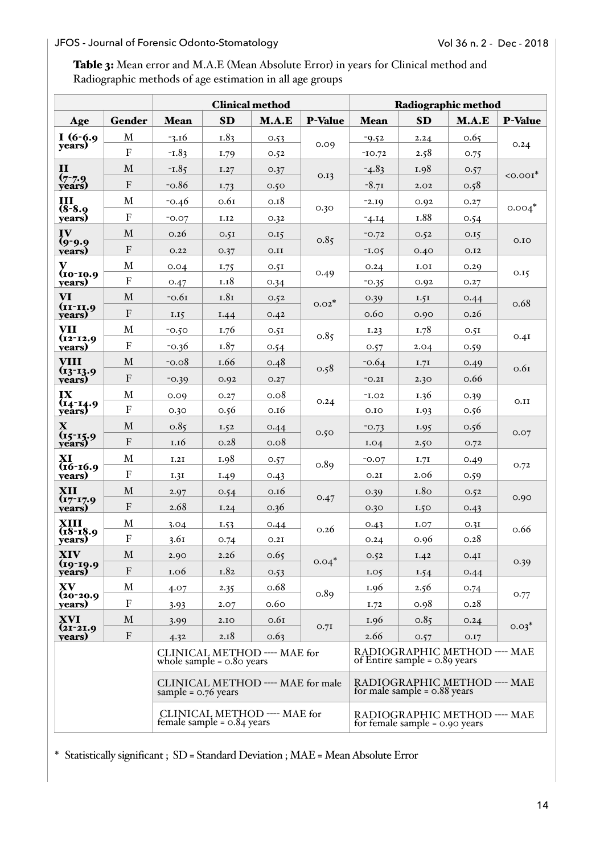# JFOS - Journal of Forensic Odonto-Stomatology **Vol 36 n. 2 - Dec - 2018**

Table 3: Mean error and M.A.E (Mean Absolute Error) in years for Clinical method and Radiographic methods of age estimation in all age groups

|                                                              |                    | <b>Clinical method</b> |           |                                                                | Radiographic method                                              |                                                                 |                  |       |                |
|--------------------------------------------------------------|--------------------|------------------------|-----------|----------------------------------------------------------------|------------------------------------------------------------------|-----------------------------------------------------------------|------------------|-------|----------------|
| Age                                                          | Gender             | <b>Mean</b>            | <b>SD</b> | M.A.E                                                          | <b>P-Value</b>                                                   | <b>Mean</b>                                                     | <b>SD</b>        | M.A.E | <b>P-Value</b> |
| $I(6-6.9)$                                                   | $\mathbf M$        | $-3.16$                | 1.83      | 0.53                                                           | 0.09                                                             | $-9.52$                                                         | 2.24             | 0.65  | 0.24           |
| years)                                                       | ${\bf F}$          | $-L.83$                | I.79      | 0.52                                                           |                                                                  | $-IO.72$                                                        | 2.58             | 0.75  |                |
| $\mathbf{I}$                                                 | $\mathbf{M}$       | $-1.85$                | I.27      | 0.37                                                           | 0.13                                                             | $-4.83$                                                         | 1.98             | 0.57  | $\leq 0.001$ * |
| $(7 - 7.9)$<br>veárs)                                        | ${\bf F}$          | $-0.86$                | 1.73      | 0.50                                                           |                                                                  | $-8.71$                                                         | 2.02             | 0.58  |                |
| III                                                          | M                  | $-0.46$                | 0.6I      | 0.18                                                           |                                                                  | $-2.19$                                                         | 0.92             | 0.27  | $0.004*$       |
| $(8-8.9)$<br>years)                                          | $\mathbf{F}$       | $-0.07$                | I.I2      | 0.32                                                           | 0.30                                                             | $-4.14$                                                         | I.88             | 0.54  |                |
| IV                                                           | $\mathbf M$        | 0.26                   | 0.5I      | 0.15                                                           | 0.85                                                             | $-0.72$                                                         | 0.52             | 0.15  | 0.10           |
| $(9-9.9)$<br>years)                                          | ${\bf F}$          | O.22                   | 0.37      | O.II                                                           |                                                                  | $-L.05$                                                         | 0.40             | O.I2  |                |
| v                                                            | M                  | 0.04                   | 1.75      | 0.5I                                                           |                                                                  | 0.24                                                            | I.OI             | 0.29  | 0.15           |
| $(10-10.9)$<br>years)                                        | $\overline{F}$     | O.47                   | 1.18      | 0.34                                                           | 0.49                                                             | $-0.35$                                                         | 0.92             | O.27  |                |
| <b>VI</b>                                                    | $\mathbf{M}$       | $-0.61$                | 1.81      | 0.52                                                           | $0.02*$                                                          | 0.39                                                            | 1.5I             | 0.44  | 0.68           |
| $(II-II.9)$<br>years)                                        | $\mathbf{F}$       | I.I5                   | 1.44      | 0.42                                                           |                                                                  | 0.60                                                            | 0.90             | 0.26  |                |
| <b>VII</b>                                                   | $\mathbf M$        | $-0.50$                | 1.76      | 0.5I                                                           | 0.85                                                             | I.23                                                            | 1.78             | 0.5I  | 0.4I           |
| $(12 - 12.9)$<br>vears)                                      | $\mathbf F$        | $-0.36$                | 1.87      | 0.54                                                           |                                                                  | 0.57                                                            | 2.04             | 0.59  |                |
| <b>VIII</b>                                                  | $\mathbf{M}$       | $-0.08$                | I.66      | 0.48                                                           | 0.58                                                             | $-0.64$                                                         | 1.71             | 0.49  | 0.6I           |
| $(13 - 13.9)$<br>years)                                      | ${\bf F}$          | $-0.39$                | 0.92      | 0.27                                                           |                                                                  | $-0.2I$                                                         | 2.30             | 0.66  |                |
| IX                                                           | $\mathbf{M}$       | 0.09                   | O.27      | 0.08                                                           |                                                                  | $-L.02$                                                         | I.36             | 0.39  | 0.II           |
| $(14 - 14.9)$<br>years)                                      | ${\bf F}$          | 0.30                   | 0.56      | 0.16                                                           | 0.24                                                             | 0.10                                                            | I.93             | 0.56  |                |
| $\mathbf X$                                                  | $\mathbf{M}$       | 0.85                   | 1.52      | 0.44                                                           | 0.50                                                             | $-0.73$                                                         | I.95             | 0.56  | 0.07           |
| $(15 - 15.9)$<br><b>véars)</b>                               | $\mathbf{F}$       | 1.16                   | 0.28      | 0.08                                                           |                                                                  | I.04                                                            | 2.50             | O.72  |                |
| XI<br>$(16-16.9)$                                            | $\mathbf{M}$       | I.2I                   | 1.98      | 0.57                                                           | 0.89                                                             | $-0.07$                                                         | 1.7I             | 0.49  | 0.72           |
| years)                                                       | $\mathbf F$        | I.3I                   | 1.49      | 0.43                                                           |                                                                  | 0.2I                                                            | 2.06             | 0.59  |                |
| XII                                                          | M                  | 2.97                   | 0.54      | 0.16                                                           | 0.47                                                             | 0.39                                                            | 1.8 <sub>O</sub> | 0.52  | 0.90           |
| $(17 - 17.9)$<br>vears)                                      | ${\bf F}$          | 2.68                   | I.24      | 0.36                                                           |                                                                  | 0.30                                                            | 1.50             | 0.43  |                |
| XIII<br>$(18-18.9)$                                          | $\mathbf{M}$       | 3.04                   | 1.53      | 0.44                                                           | 0.26                                                             | 0.43                                                            | I.07             | 0.3I  | 0.66           |
| vears)                                                       | $\mathbf F$        | 3.61                   | 0.74      | 0.2I                                                           |                                                                  | 0.24                                                            | 0.96             | 0.28  |                |
| XIV                                                          | $\mathbf{M}% _{0}$ | 2.90                   | 2.26      | 0.65                                                           | $0.04*$                                                          | 0.52                                                            | I.42             | 0.4I  | 0.39           |
| $(19-19.9)$<br>vears)                                        | $\mathbf{F}$       | 1.06                   | 1.82      | 0.53                                                           |                                                                  | I.05                                                            | 1.54             | 0.44  |                |
| $\mathbf{X}\mathbf{V}$<br>$(20 - 20.9)$                      | M                  | 4.07                   | 2.35      | 0.68                                                           | 0.89                                                             | 1.96                                                            | 2.56             | 0.74  | 0.77           |
| vears)                                                       | ${\bf F}$          | 3.93                   | 2.07      | 0.60                                                           |                                                                  | I.72                                                            | 0.98             | 0.28  |                |
| <b>XVI</b>                                                   | M                  | 3.99                   | 2.10      | 0.6I                                                           | 0.7I                                                             | 1.96                                                            | 0.85             | 0.24  | $0.03*$        |
| $(21-21.9)$<br>vears)                                        | ${\bf F}$          | 4.32                   | 2.18      | 0.63                                                           |                                                                  | 2.66                                                            | 0.57             | 0.17  |                |
| CLINICAL METHOD ---- MAE for<br>whole sample $= 0.8$ o years |                    |                        |           |                                                                |                                                                  | RADIOGRAPHIC METHOD ---- MAE<br>of Entire sample = $0.89$ years |                  |       |                |
| CLINICAL METHOD ---- MAE for male<br>sample = $0.76$ years   |                    |                        |           | RADIOGRAPHIC METHOD ---- MAE<br>for male sample = $0.88$ years |                                                                  |                                                                 |                  |       |                |
| CLINICAL METHOD ---- MAE for<br>female sample = $0.84$ years |                    |                        |           |                                                                | RADIOGRAPHIC METHOD ---- MAE<br>for female sample $= 0.90$ years |                                                                 |                  |       |                |

\* Statistically significant ; SD = Standard Deviation ; MAE = Mean Absolute Error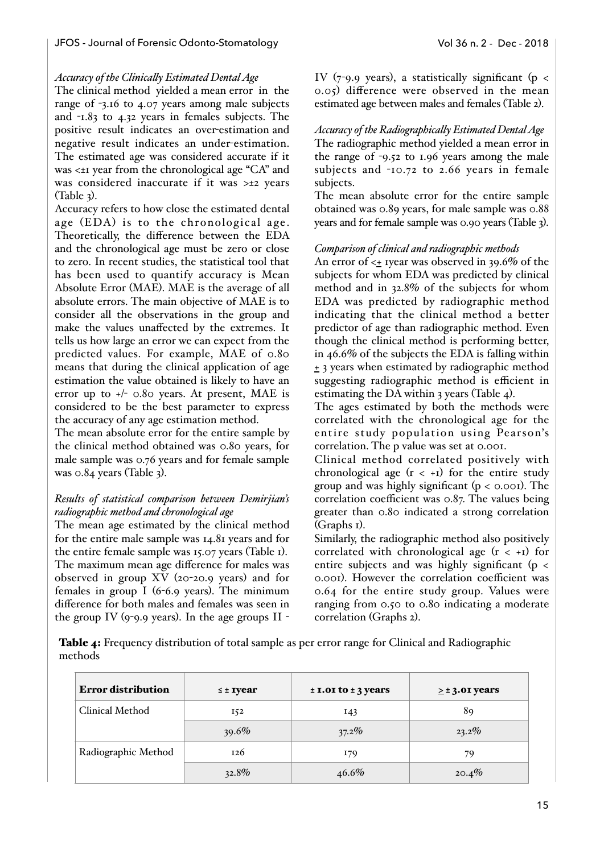#### *Accuracy of the Clinicaly Estimated Dental Age*

The clinical method yielded a mean error in the range of -3.16 to 4.07 years among male subjects and -1.83 to 4.32 years in females subjects. The positive result indicates an over-estimation and negative result indicates an under-estimation. The estimated age was considered accurate if it was <±1 year from the chronological age "CA" and was considered inaccurate if it was >±2 years  $(Table 3)$ .

Accuracy refers to how close the estimated dental age (EDA) is to the chronological age. Theoretically, the difference between the EDA and the chronological age must be zero or close to zero. In recent studies, the statistical tool that has been used to quantify accuracy is Mean Absolute Error (MAE). MAE is the average of all absolute errors. The main objective of MAE is to consider all the observations in the group and make the values unaffected by the extremes. It tells us how large an error we can expect from the predicted values. For example, MAE of 0.80 means that during the clinical application of age estimation the value obtained is likely to have an error up to +/- 0.80 years. At present, MAE is considered to be the best parameter to express the accuracy of any age estimation method.

The mean absolute error for the entire sample by the clinical method obtained was 0.80 years, for male sample was 0.76 years and for female sample was 0.84 years (Table 3).

## *Results of statistical comparison between Demirjian's radiographic method and chronological age*

The mean age estimated by the clinical method for the entire male sample was 14.81 years and for the entire female sample was 15.07 years (Table 1). The maximum mean age difference for males was observed in group XV (20-20.9 years) and for females in group I (6-6.9 years). The minimum difference for both males and females was seen in the group IV (9-9.9 years). In the age groups II -

IV (7-9.9 years), a statistically significant ( $p <$ 0.05) difference were observed in the mean estimated age between males and females (Table 2).

*Accuracy of the Radiographically Estimated Dental Age* The radiographic method yielded a mean error in the range of -9.52 to 1.96 years among the male subjects and -10.72 to 2.66 years in female subjects.

The mean absolute error for the entire sample obtained was 0.89 years, for male sample was 0.88 years and for female sample was 0.90 years (Table 3).

## *Comparison of clinical and radiographic methods*

An error of <+ 1year was observed in 39.6% of the subjects for whom EDA was predicted by clinical method and in 32.8% of the subjects for whom EDA was predicted by radiographic method indicating that the clinical method a better predictor of age than radiographic method. Even though the clinical method is performing better, in 46.6% of the subjects the EDA is falling within  $\pm$  3 years when estimated by radiographic method suggesting radiographic method is efficient in estimating the DA within 3 years (Table 4).

The ages estimated by both the methods were correlated with the chronological age for the entire study population using Pearson's correlation. The p value was set at 0.001.

Clinical method correlated positively with chronological age  $(r < +1)$  for the entire study group and was highly significant  $(p < 0.001)$ . The correlation coefficient was 0.87. The values being greater than 0.80 indicated a strong correlation (Graphs 1).

Similarly, the radiographic method also positively correlated with chronological age  $(r < +1)$  for entire subjects and was highly significant ( $p <$ 0.001). However the correlation coefficient was 0.64 for the entire study group. Values were ranging from 0.50 to 0.80 indicating a moderate correlation (Graphs 2).

Table 4: Frequency distribution of total sample as per error range for Clinical and Radiographic methods

| <b>Error distribution</b> | $\leq$ ± Iyear | $\pm$ 1.01 to $\pm$ 3 years | $\geq$ ± 3.01 years |
|---------------------------|----------------|-----------------------------|---------------------|
| Clinical Method           | 152            | 143                         | 89                  |
|                           | $39.6\%$       | $37.2\%$                    | $23.2\%$            |
| Radiographic Method       | 126            | 179                         | 79                  |
|                           | $32.8\%$       | $46.6\%$                    | 20.4%               |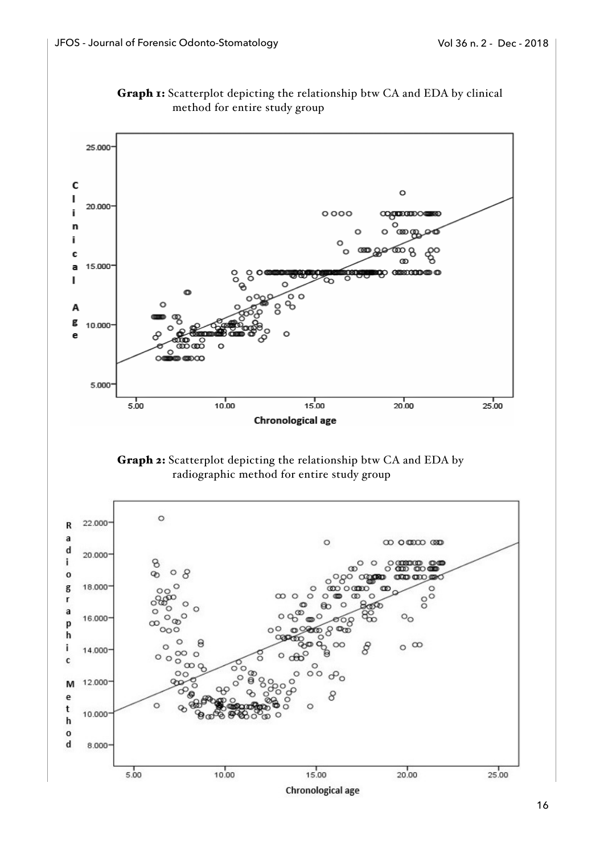

Chronological age

Graph 1: Scatterplot depicting the relationship btw CA and EDA by clinical

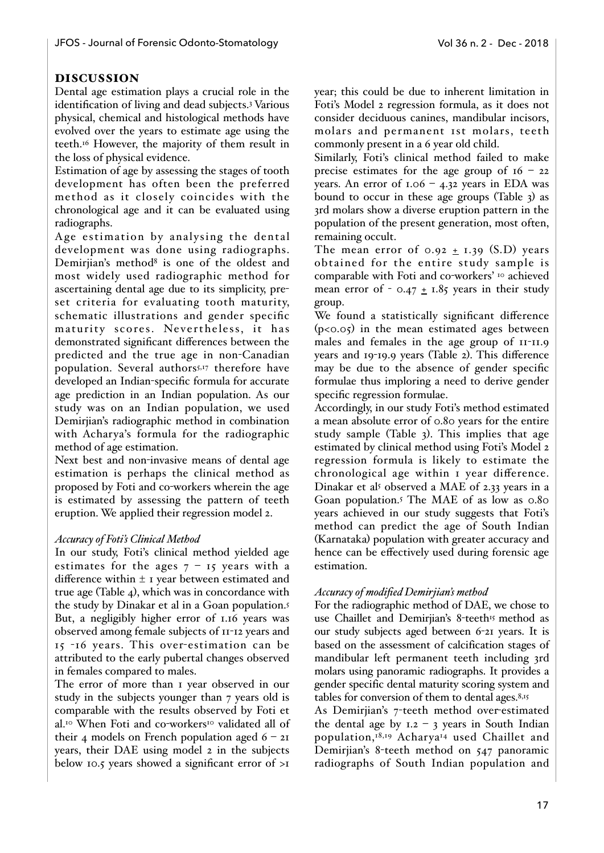# DISCUSSION

Dental age estimation plays a crucial role in the identification of living and dead subjects.3 Various physical, chemical and histological methods have evolved over the years to estimate age using the teeth.16 However, the majority of them result in the loss of physical evidence.

Estimation of age by assessing the stages of tooth development has often been the preferred method as it closely coincides with the chronological age and it can be evaluated using radiographs.

Age estimation by analysing the dental development was done using radiographs. Demirjian's method<sup>8</sup> is one of the oldest and most widely used radiographic method for ascertaining dental age due to its simplicity, preset criteria for evaluating tooth maturity, schematic illustrations and gender specific maturity scores. Nevertheless, it has demonstrated significant differences between the predicted and the true age in non-Canadian population. Several authors<sup>5,17</sup> therefore have developed an Indian-specific formula for accurate age prediction in an Indian population. As our study was on an Indian population, we used Demirjian's radiographic method in combination with Acharya's formula for the radiographic method of age estimation.

Next best and non-invasive means of dental age estimation is perhaps the clinical method as proposed by Foti and co-workers wherein the age is estimated by assessing the pattern of teeth eruption. We applied their regression model 2.

## *Accuracy of Foti's Clinical Method*

In our study, Foti's clinical method yielded age estimates for the ages  $7 - 15$  years with a difference within ± 1 year between estimated and true age (Table 4), which was in concordance with the study by Dinakar et al in a Goan population.5 But, a negligibly higher error of 1.16 years was observed among female subjects of 11-12 years and 15 -16 years. This over-estimation can be attributed to the early pubertal changes observed in females compared to males.

The error of more than 1 year observed in our study in the subjects younger than 7 years old is comparable with the results observed by Foti et al.<sup>10</sup> When Foti and co-workers<sup>10</sup> validated all of their 4 models on French population aged  $6 - 2I$ years, their DAE using model 2 in the subjects below 10.5 years showed a significant error of >1

year; this could be due to inherent limitation in Foti's Model 2 regression formula, as it does not consider deciduous canines, mandibular incisors, molars and permanent 1st molars, teeth commonly present in a 6 year old child.

Similarly, Foti's clinical method failed to make precise estimates for the age group of  $16 - 22$ years. An error of  $1.06 - 4.32$  years in EDA was bound to occur in these age groups (Table 3) as 3rd molars show a diverse eruption pattern in the population of the present generation, most often, remaining occult.

The mean error of  $0.92 \pm 1.39$  (S.D) years obtained for the entire study sample is comparable with Foti and co-workers' 10 achieved mean error of -  $0.47 \pm 1.85$  years in their study group.

We found a statistically significant difference  $(p<0.05)$  in the mean estimated ages between males and females in the age group of 11-11.9 years and 19-19.9 years (Table 2). This difference may be due to the absence of gender specific formulae thus imploring a need to derive gender specific regression formulae.

Accordingly, in our study Foti's method estimated a mean absolute error of 0.80 years for the entire study sample (Table 3). This implies that age estimated by clinical method using Foti's Model 2 regression formula is likely to estimate the chronological age within 1 year difference. Dinakar et als observed a MAE of 2.33 years in a Goan population.5 The MAE of as low as 0.80 years achieved in our study suggests that Foti's method can predict the age of South Indian (Karnataka) population with greater accuracy and hence can be effectively used during forensic age estimation.

## *Accuracy of modified Demirjian's method*

For the radiographic method of DAE, we chose to use Chaillet and Demirjian's 8-teeth<sup>15</sup> method as our study subjects aged between 6-21 years. It is based on the assessment of calcification stages of mandibular left permanent teeth including 3rd molars using panoramic radiographs. It provides a gender specific dental maturity scoring system and tables for conversion of them to dental ages.8,15

As Demirjian's 7-teeth method over-estimated the dental age by  $1.2 - 3$  years in South Indian population,18,19 Acharya14 used Chaillet and Demirjian's 8-teeth method on 547 panoramic radiographs of South Indian population and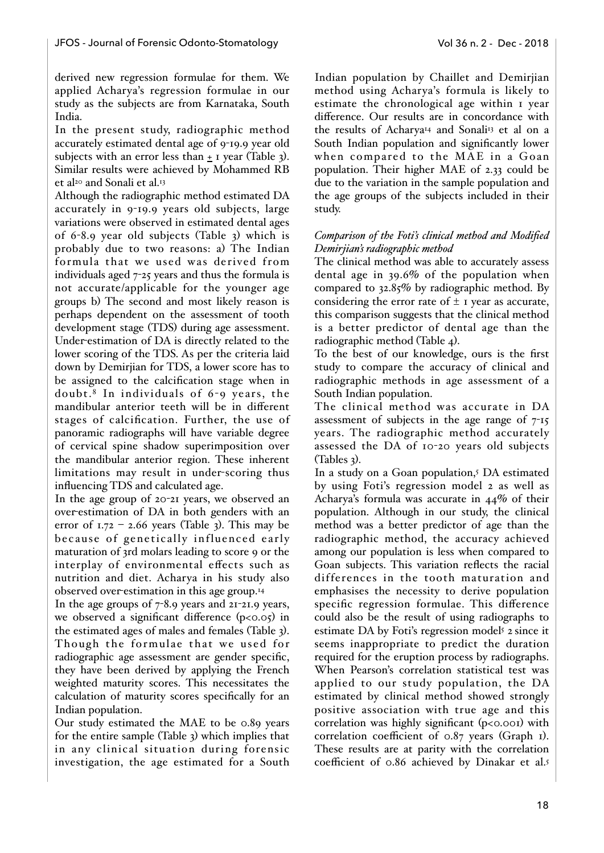derived new regression formulae for them. We applied Acharya's regression formulae in our study as the subjects are from Karnataka, South India.

In the present study, radiographic method accurately estimated dental age of 9-19.9 year old subjects with an error less than  $\pm$  1 year (Table 3). Similar results were achieved by Mohammed RB et al<sup>20</sup> and Sonali et al.<sup>13</sup>

Although the radiographic method estimated DA accurately in 9-19.9 years old subjects, large variations were observed in estimated dental ages of 6-8.9 year old subjects (Table 3) which is probably due to two reasons: a) The Indian formula that we used was derived from individuals aged 7-25 years and thus the formula is not accurate/applicable for the younger age groups b) The second and most likely reason is perhaps dependent on the assessment of tooth development stage (TDS) during age assessment. Under-estimation of DA is directly related to the lower scoring of the TDS. As per the criteria laid down by Demirjian for TDS, a lower score has to be assigned to the calcification stage when in doubt.<sup>8</sup> In individuals of  $6 - 9$  years, the mandibular anterior teeth will be in different stages of calcification. Further, the use of panoramic radiographs will have variable degree of cervical spine shadow superimposition over the mandibular anterior region. These inherent limitations may result in under-scoring thus influencing TDS and calculated age.

In the age group of 20-21 years, we observed an over-estimation of DA in both genders with an error of  $1.72 - 2.66$  years (Table 3). This may be because of genetically influenced early maturation of 3rd molars leading to score 9 or the interplay of environmental effects such as nutrition and diet. Acharya in his study also observed over-estimation in this age group.14

In the age groups of  $7-8.9$  years and  $21-21.9$  years, we observed a significant difference  $(p<0.05)$  in the estimated ages of males and females (Table 3). Though the formulae that we used for radiographic age assessment are gender specific, they have been derived by applying the French weighted maturity scores. This necessitates the calculation of maturity scores specifically for an Indian population.

Our study estimated the MAE to be 0.89 years for the entire sample (Table 3) which implies that in any clinical situation during forensic investigation, the age estimated for a South Indian population by Chaillet and Demirjian method using Acharya's formula is likely to estimate the chronological age within 1 year difference. Our results are in concordance with the results of Acharya<sup>14</sup> and Sonali<sup>13</sup> et al on a South Indian population and significantly lower when compared to the MAE in a Goan population. Their higher MAE of 2.33 could be due to the variation in the sample population and the age groups of the subjects included in their study.

# *Comparison of the Foti's clinical method and Modified Demirjian's radiographic method*

The clinical method was able to accurately assess dental age in 39.6% of the population when compared to 32.85% by radiographic method. By considering the error rate of  $\pm$  1 year as accurate, this comparison suggests that the clinical method is a better predictor of dental age than the radiographic method (Table 4).

To the best of our knowledge, ours is the first study to compare the accuracy of clinical and radiographic methods in age assessment of a South Indian population.

The clinical method was accurate in DA assessment of subjects in the age range of 7-15 years. The radiographic method accurately assessed the DA of 10-20 years old subjects (Tables 3).

In a study on a Goan population,<sup>5</sup> DA estimated by using Foti's regression model 2 as well as Acharya's formula was accurate in 44% of their population. Although in our study, the clinical method was a better predictor of age than the radiographic method, the accuracy achieved among our population is less when compared to Goan subjects. This variation reflects the racial differences in the tooth maturation and emphasises the necessity to derive population specific regression formulae. This difference could also be the result of using radiographs to estimate DA by Foti's regression model<sup>5</sup> 2 since it seems inappropriate to predict the duration required for the eruption process by radiographs. When Pearson's correlation statistical test was applied to our study population, the DA estimated by clinical method showed strongly positive association with true age and this correlation was highly significant (p<0.001) with correlation coefficient of 0.87 years (Graph 1). These results are at parity with the correlation coefficient of 0.86 achieved by Dinakar et al.5